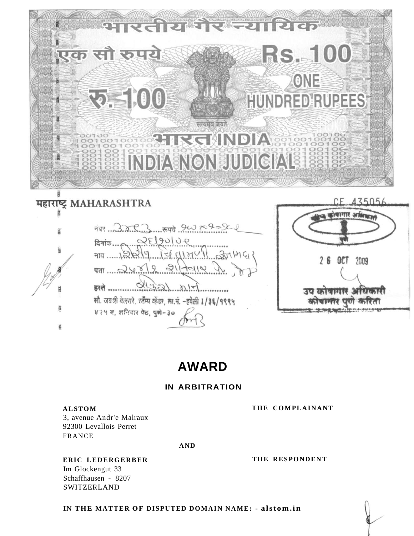

**R=Rの CUP 師所**  $747.3883$  $(1, 0)$ दिनांक $\ldots$ নাব ......1৯  $\pi$   $\pi$   $\sim$   $\sim$ हरते  $\mathcal{L}$ सौ. जयश्री वेलसरे, रहँम्प व्हेंडर, ला.नं. -हवेली 1/3६/१९९५ ४२५ स, शनिवार पेठ, पुणे-३०



# **AWARD**

# **IN ARBITRATION**

## **ALSTOM**

3, avenue Andr'e Malraux 92300 Levallois Perret **FRANCE** 

**AND** 

# ERIC LEDERGERBER

Im Glockengut 33 Schaffhausen - 8207 **SWITZERLAND** 

THE RESPONDENT

THE COMPLAINANT

IN THE MATTER OF DISPUTED DOMAIN NAME: - alstom.in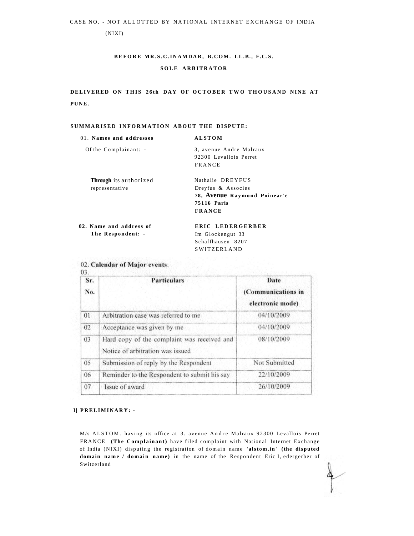(NIXI)

# **BEFOR E MR.S.C.INAMDAR , B.COM. LL.B., F.C.S. SOL E ARBITRATO R**

**DELIVERED ON THIS 26th DAY OF OCTOBER TWO THOUSAND NINE AT PUNE.** 

### **SUMMARISE D INFORMATIO N ABOU T TH E DISPUTE:**

| 01. Names and addresses       | <b>ALSTOM</b>                |
|-------------------------------|------------------------------|
| Of the Complainant: -         | 3, avenue Andre Malraux      |
|                               | 92300 Levallois Perret       |
|                               | <b>FRANCE</b>                |
| <b>Through</b> its authorized | Nathalie DREYFUS             |
| representative                | Dreyfus & Associes           |
|                               | 78, Avenue Raymond Poinear'e |
|                               | <b>75116 Paris</b>           |
|                               | <b>FRANCE</b>                |
| 02. Name and address of       | ERIC LEDERGERBER             |
| The Respondent: -             | Im Glockengut 33             |

Im Glockengut 33 Schaffhausen 8207 **SWITZERLAND** 

| Sr.<br>No. | <b>Particulars</b>                                                              | Date<br>(Communications in<br>electronic mode) |
|------------|---------------------------------------------------------------------------------|------------------------------------------------|
| 01         | Arbitration case was referred to me                                             | 04/10/2009                                     |
| 02         | Acceptance was given by me                                                      | 04/10/2009                                     |
| 03         | Hard copy of the complaint was received and<br>Notice of arbitration was issued | 08/10/2009                                     |
| 05         | Submission of reply by the Respondent                                           | Not Submitted                                  |
| 06         | Reminder to the Respondent to submit his say                                    | 22/10/2009                                     |
| 07         | Issue of award                                                                  | 26/10/2009                                     |
|            |                                                                                 |                                                |

### 02. Calendar of Major events:

### **I] PRELIMINARY : -**

M/s ALSTOM. having its office at 3. avenue Andre Malraux 92300 Levallois Perret FRANCE **(The Complainant)** have filed complaint with National Internet Exchange of India (NIXI) disputing the registration of domain name 'alstom.in' (the disputed domain name / domain name) in the name of the Respondent Eric I, edergerber of Switzerland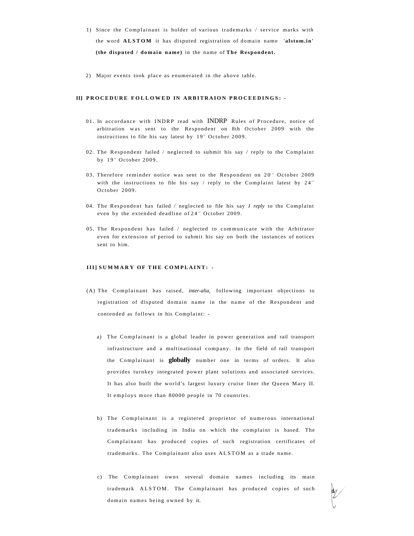- 1) Since the Complainant is holder of various trademarks / service marks with the word **ALSTOM** it has disputed registration of domain name 'alstom.in' **(the disputed / domain name )** in the name of **Th e Respondent.**
- 2) Major events took place as enumerated in the above table.

### **II] PROCEDURE FOLLOWED IN ARBITRAION PROCEEDINGS: -**

- 01. In accordance with INDRP read with INDRP Rules of Procedure, notice of arbitration was sent to the Respondent on 8th October 2009 with the instructions to file his say latest by 19<sup>th</sup> October 2009.
- 02. The Respondent failed / neglected to submit his say / reply to the Complaint by 19<sup>th</sup> October 2009.
- 03. Therefore reminder notice was sent to the Respondent on 20<sup>th</sup> October 2009 with the instructions to file his say / reply to the Complaint latest by  $24^{th}$ October 2009.
- 04. The Respondent has failed / neglected to file his say *I reply* to the Complaint even by the extended deadline of 24<sup>th</sup> October 2009.
- 05. The Respondent has failed  $/$  neglected to communicate with the Arbitrator even for extension of period to submit his say on both the instances of notices sent to him.

### **III] SUMMARY OF THE COMPLAINT: -**

- (A) The Complainant has raised, *inter-alia*, following important objections to registration of disputed domain name in the name of the Respondent and contended as follows in his Complaint:
	- a) The Complainant is a global leader in power generation and rail transport infrastructure and a multinational company. In the field of rail transport the Complainant is **globally** number one in terms of orders. It also provides turnkey integrated power plant solutions and associated services. It has also built the world's largest luxury cruise liner the Queen Mary II. It employs more than 80000 people in 70 countries.
	- b) The Complainant is a registered proprietor of numerous international trademarks including in India on which the complaint is based. The Complainant has produced copies of such registration certificates of trademarks. The Complainant also uses ALSTOM as a trade name.
	- c) The Complainant owns several domain names including its main trademark ALSTOM. The Complainant has produced copies of such domain names being owned by it.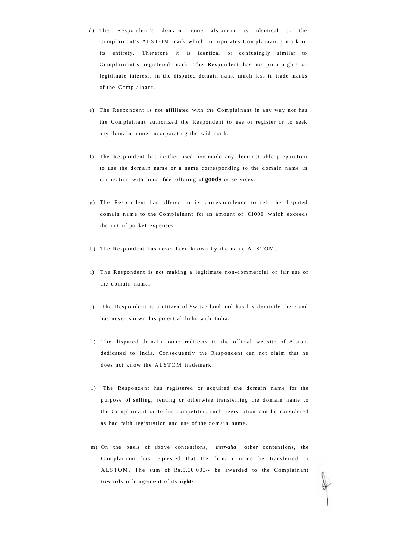- d) The Respondent's domain name alstom.in is identical to the Complainant's ALSTOM mark which incorporates Complainant's mark in its entirety. Therefore it is identical or confusingly similar to Complainant's registered mark. The Respondent has no prior rights or legitimate interests in the disputed domain name much less in trade marks of the Complainant.
- e) The Respondent is not affiliated with the Complainant in any way nor has the Complainant authorized the Respondent to use or register or to seek any domain name incorporating the said mark.
- f) The Respondent has neither used nor made any demonstrable preparation to use the domain name or a name corresponding to the domain name in connection with bona fide offering of **goods** or services.
- g) The Respondent has offered in its correspondence to sell the disputed domain name to the Complainant for an amount of  $\in 1000$  which exceeds the out of pocket expenses.
- h) The Respondent has never been known by the name ALSTOM .
- i) The Respondent is not making a legitimate non-commercial or fair use of the domain name.
- j) The Respondent is a citizen of Switzerland and has his domicile there and has never shown his potential links with India.
- k) The disputed domain name redirects to the official website of Alstom dedicated to India. Consequently the Respondent can not claim that he does not know the ALSTOM trademark.
- 1) The Respondent has registered or acquired the domain name for the purpose of selling, renting or otherwise transferring the domain name to the Complainant or to his competitor, such registration can be considered as bad faith registration and use of the domain name .
- m) On the basis of above contentions, *inter-alia* other contentions, the Complainant has requested that the domain name be transferred to ALSTOM. The sum of Rs.5.00.000/- be awarded to the Complainant towards infringement of its **rights**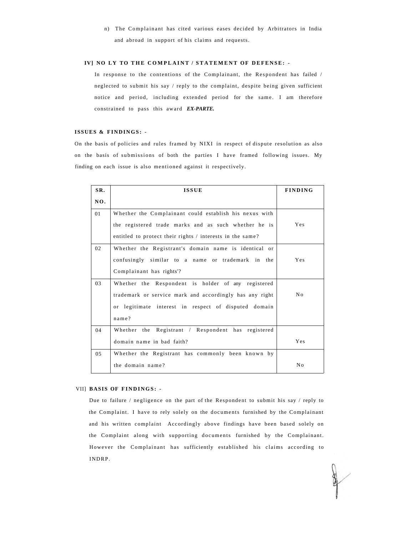n) The Complainant has cited various eases decided by Arbitrators in India and abroad in support of his claims and requests.

### **IV] NO LY TO THE COMPLAINT / STATEMENT OF DEFENSE: -**

In response to the contentions of the Complainant, the Respondent has failed / neglected to submit his say / reply to the complaint, despite being given sufficient notice and period, including extended period for the same. I am therefore constrained to pass this award *EX-PARTE.* 

### **ISSUES & FINDINGS : -**

On the basis of policies and rules framed by NIXI in respect of dispute resolution as also on the basis of submissions of both the parties I have framed following issues. My finding on each issue is also mentioned against it respectively.

| SR. | <b>ISSUE</b>                                              | <b>FINDING</b> |
|-----|-----------------------------------------------------------|----------------|
| NO. |                                                           |                |
| 01  | Whether the Complainant could establish his nexus with    |                |
|     | the registered trade marks and as such whether he is      | Yes            |
|     | entitled to protect their rights / interests in the same? |                |
| 02  | Whether the Registrant's domain name is identical or      |                |
|     | confusingly similar to a name or trademark in the         | Yes            |
|     | Complainant has rights'?                                  |                |
| 03  | Whether the Respondent is holder of any registered        |                |
|     | trademark or service mark and accordingly has any right   | No             |
|     | or legitimate interest in respect of disputed domain      |                |
|     | name?                                                     |                |
| 04  | Whether the Registrant / Respondent has registered        |                |
|     | domain name in bad faith?                                 | Yes            |
| 0.5 | Whether the Registrant has commonly been known by         |                |
|     | the domain name?                                          | No             |

### VII] **BASIS OF FINDINGS : -**

Due to failure / negligence on the part of the Respondent to submit his say / reply to the Complaint. I have to rely solely on the documents furnished by the Complainant and his written complaint Accordingly above findings have been based solely on the Complaint along with supporting documents furnished by the Complainant. However the Complainant has sufficiently established his claims according to INDRP.